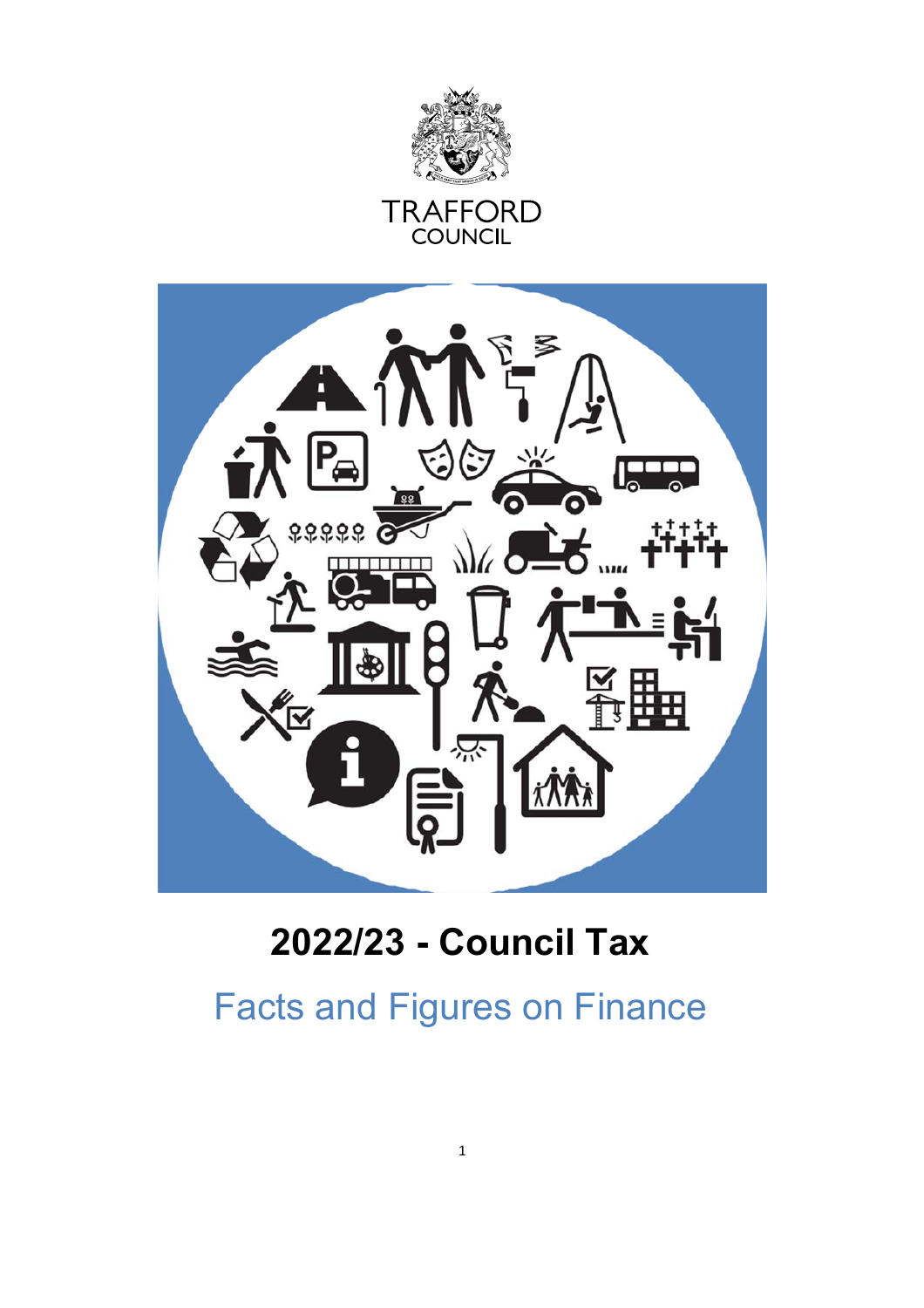

**TRAFFORD**<br>COUNCIL



# **2022/23 - Council Tax**

Facts and Figures on Finance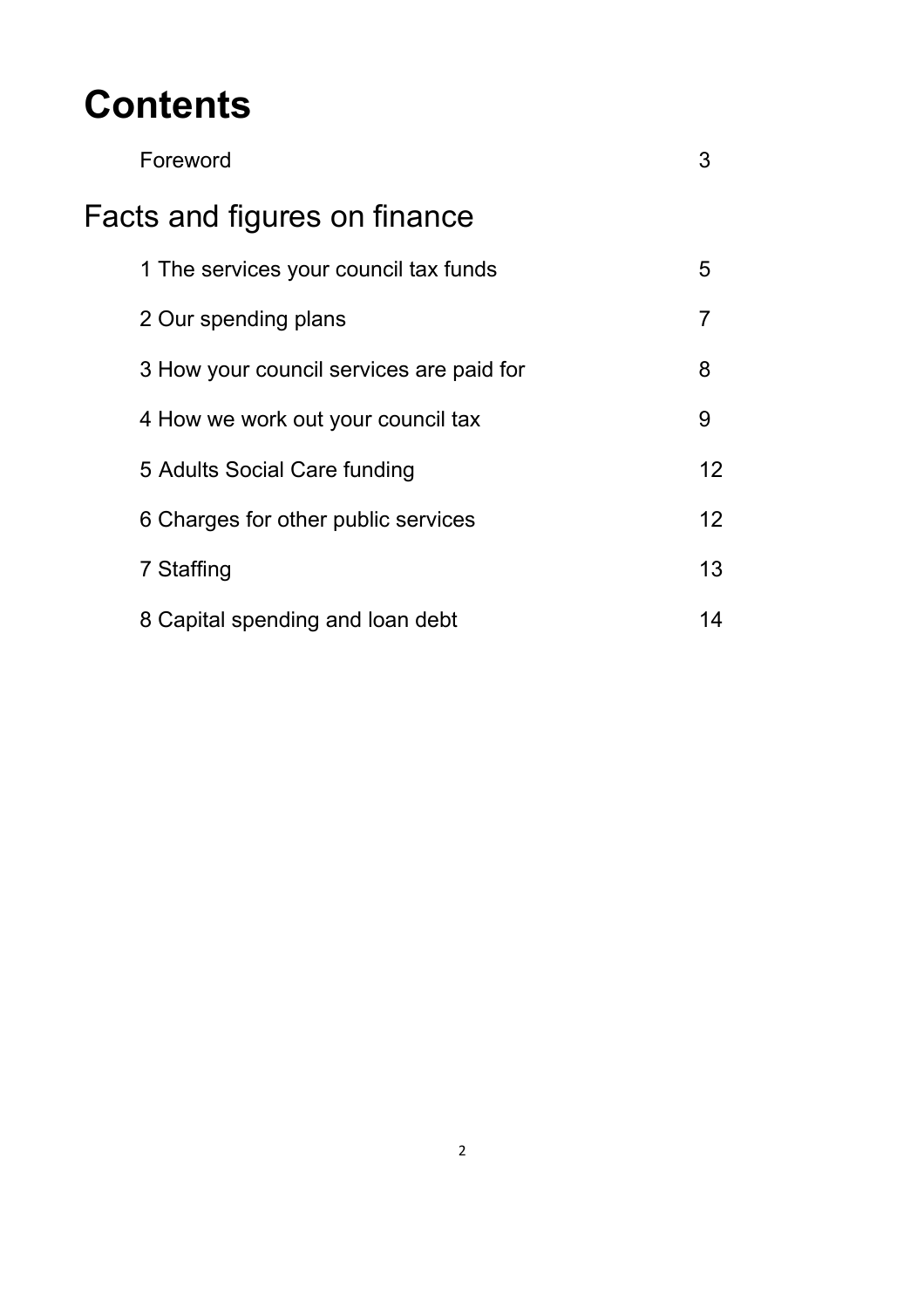# **Contents**

| Foreword                                 |                 |  |  |
|------------------------------------------|-----------------|--|--|
| Facts and figures on finance             |                 |  |  |
| 1 The services your council tax funds    | 5               |  |  |
| 2 Our spending plans                     | 7               |  |  |
| 3 How your council services are paid for | 8               |  |  |
| 4 How we work out your council tax       | 9               |  |  |
| 5 Adults Social Care funding             | 12              |  |  |
| 6 Charges for other public services      | 12 <sup>2</sup> |  |  |
| 7 Staffing                               | 13              |  |  |
| 8 Capital spending and loan debt         | 14              |  |  |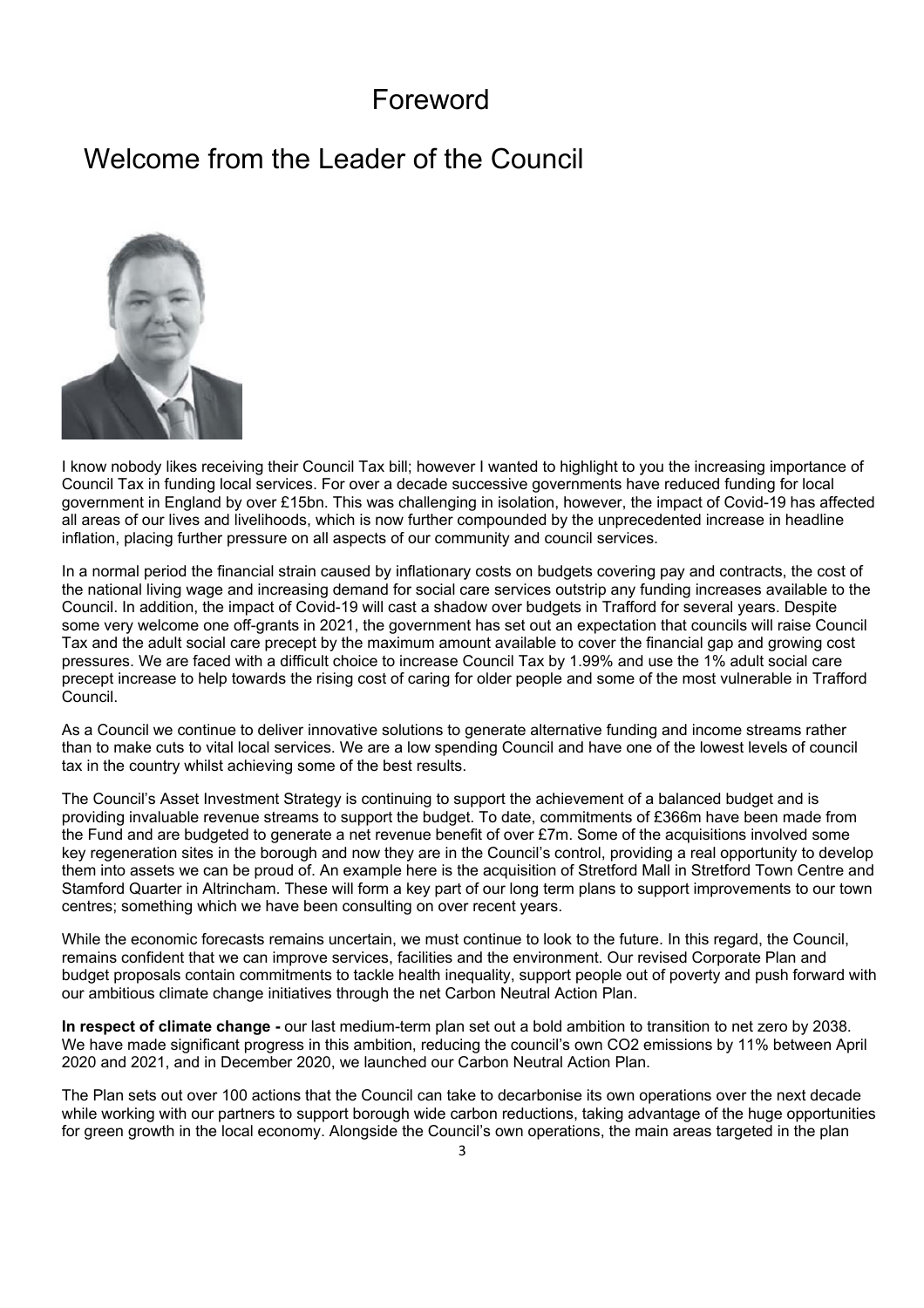#### Foreword

## Welcome from the Leader of the Council



I know nobody likes receiving their Council Tax bill; however I wanted to highlight to you the increasing importance of Council Tax in funding local services. For over a decade successive governments have reduced funding for local government in England by over £15bn. This was challenging in isolation, however, the impact of Covid-19 has affected all areas of our lives and livelihoods, which is now further compounded by the unprecedented increase in headline inflation, placing further pressure on all aspects of our community and council services.

In a normal period the financial strain caused by inflationary costs on budgets covering pay and contracts, the cost of the national living wage and increasing demand for social care services outstrip any funding increases available to the Council. In addition, the impact of Covid-19 will cast a shadow over budgets in Trafford for several years. Despite some very welcome one off-grants in 2021, the government has set out an expectation that councils will raise Council Tax and the adult social care precept by the maximum amount available to cover the financial gap and growing cost pressures. We are faced with a difficult choice to increase Council Tax by 1.99% and use the 1% adult social care precept increase to help towards the rising cost of caring for older people and some of the most vulnerable in Trafford Council.

As a Council we continue to deliver innovative solutions to generate alternative funding and income streams rather than to make cuts to vital local services. We are a low spending Council and have one of the lowest levels of council tax in the country whilst achieving some of the best results.

The Council's Asset Investment Strategy is continuing to support the achievement of a balanced budget and is providing invaluable revenue streams to support the budget. To date, commitments of £366m have been made from the Fund and are budgeted to generate a net revenue benefit of over £7m. Some of the acquisitions involved some key regeneration sites in the borough and now they are in the Council's control, providing a real opportunity to develop them into assets we can be proud of. An example here is the acquisition of Stretford Mall in Stretford Town Centre and Stamford Quarter in Altrincham. These will form a key part of our long term plans to support improvements to our town centres; something which we have been consulting on over recent years.

While the economic forecasts remains uncertain, we must continue to look to the future. In this regard, the Council, remains confident that we can improve services, facilities and the environment. Our revised Corporate Plan and budget proposals contain commitments to tackle health inequality, support people out of poverty and push forward with our ambitious climate change initiatives through the net Carbon Neutral Action Plan.

**In respect of climate change -** our last medium-term plan set out a bold ambition to transition to net zero by 2038. We have made significant progress in this ambition, reducing the council's own CO2 emissions by 11% between April 2020 and 2021, and in December 2020, we launched our Carbon Neutral Action Plan.

The Plan sets out over 100 actions that the Council can take to decarbonise its own operations over the next decade while working with our partners to support borough wide carbon reductions, taking advantage of the huge opportunities for green growth in the local economy. Alongside the Council's own operations, the main areas targeted in the plan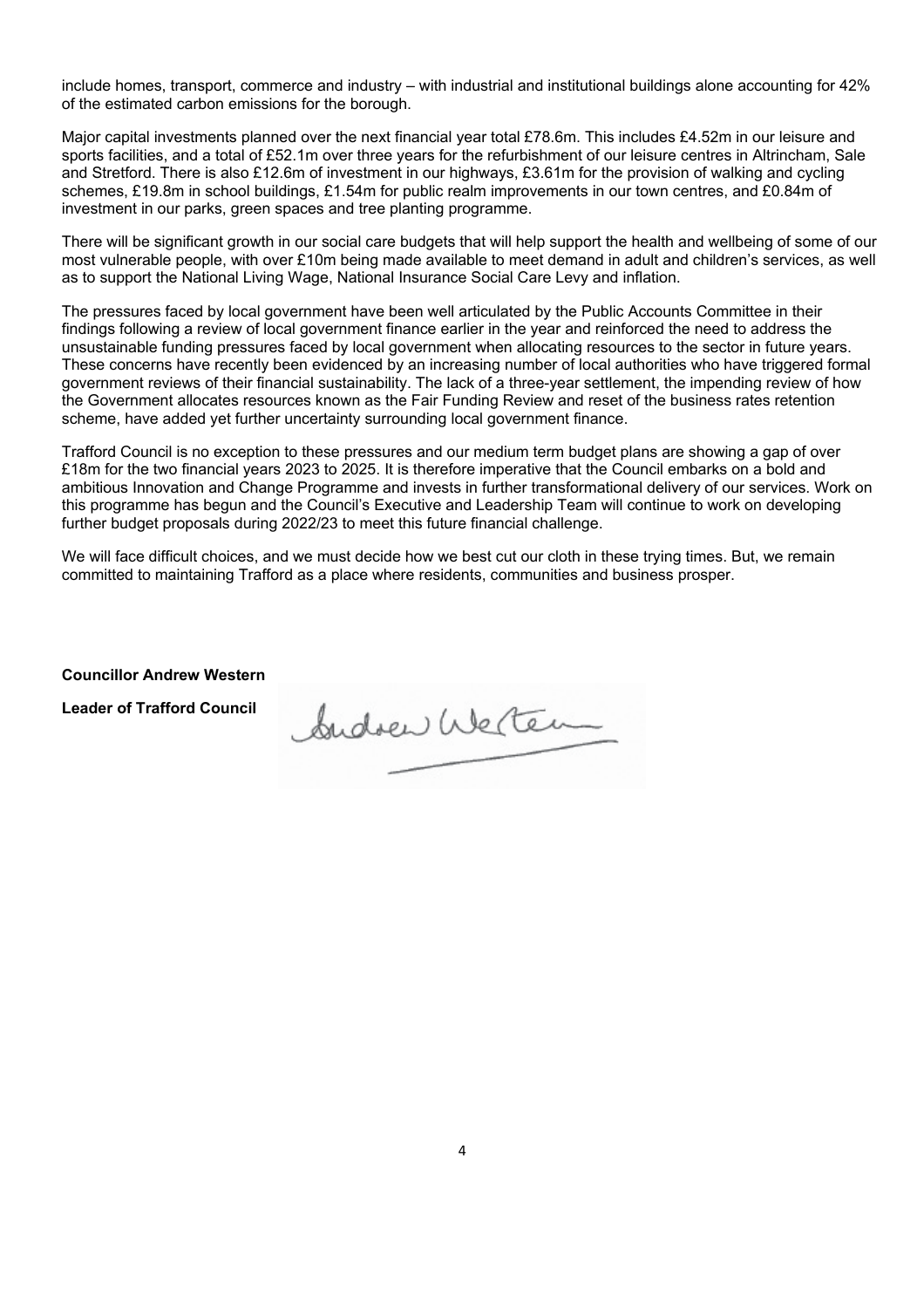include homes, transport, commerce and industry – with industrial and institutional buildings alone accounting for 42% of the estimated carbon emissions for the borough.

Major capital investments planned over the next financial year total £78.6m. This includes £4.52m in our leisure and sports facilities, and a total of £52.1m over three years for the refurbishment of our leisure centres in Altrincham, Sale and Stretford. There is also £12.6m of investment in our highways, £3.61m for the provision of walking and cycling schemes, £19.8m in school buildings, £1.54m for public realm improvements in our town centres, and £0.84m of investment in our parks, green spaces and tree planting programme.

There will be significant growth in our social care budgets that will help support the health and wellbeing of some of our most vulnerable people, with over £10m being made available to meet demand in adult and children's services, as well as to support the National Living Wage, National Insurance Social Care Levy and inflation.

The pressures faced by local government have been well articulated by the Public Accounts Committee in their findings following a review of local government finance earlier in the year and reinforced the need to address the unsustainable funding pressures faced by local government when allocating resources to the sector in future years. These concerns have recently been evidenced by an increasing number of local authorities who have triggered formal government reviews of their financial sustainability. The lack of a three-year settlement, the impending review of how the Government allocates resources known as the Fair Funding Review and reset of the business rates retention scheme, have added yet further uncertainty surrounding local government finance.

Trafford Council is no exception to these pressures and our medium term budget plans are showing a gap of over £18m for the two financial years 2023 to 2025. It is therefore imperative that the Council embarks on a bold and ambitious Innovation and Change Programme and invests in further transformational delivery of our services. Work on this programme has begun and the Council's Executive and Leadership Team will continue to work on developing further budget proposals during 2022/23 to meet this future financial challenge.

We will face difficult choices, and we must decide how we best cut our cloth in these trying times. But, we remain committed to maintaining Trafford as a place where residents, communities and business prosper.

**Councillor Andrew Western** 

**Leader of Trafford Council** 

Sudoen Welter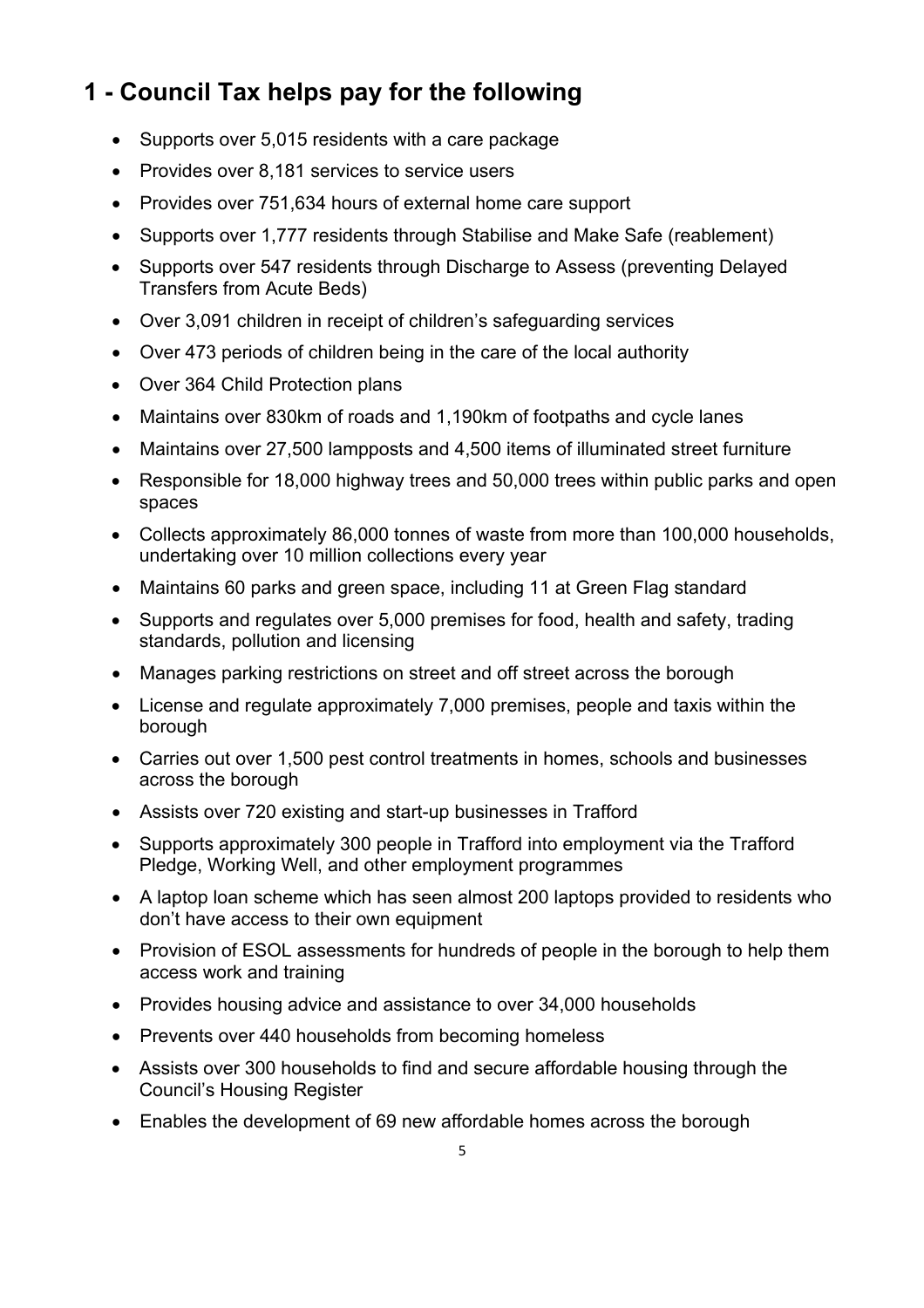## **1 - Council Tax helps pay for the following**

- Supports over 5,015 residents with a care package
- Provides over 8,181 services to service users
- Provides over 751,634 hours of external home care support
- Supports over 1,777 residents through Stabilise and Make Safe (reablement)
- Supports over 547 residents through Discharge to Assess (preventing Delayed Transfers from Acute Beds)
- Over 3,091 children in receipt of children's safeguarding services
- Over 473 periods of children being in the care of the local authority
- Over 364 Child Protection plans
- Maintains over 830km of roads and 1,190km of footpaths and cycle lanes
- Maintains over 27,500 lampposts and 4,500 items of illuminated street furniture
- Responsible for 18,000 highway trees and 50,000 trees within public parks and open spaces
- Collects approximately 86,000 tonnes of waste from more than 100,000 households, undertaking over 10 million collections every year
- Maintains 60 parks and green space, including 11 at Green Flag standard
- Supports and regulates over 5,000 premises for food, health and safety, trading standards, pollution and licensing
- Manages parking restrictions on street and off street across the borough
- License and regulate approximately 7,000 premises, people and taxis within the borough
- Carries out over 1,500 pest control treatments in homes, schools and businesses across the borough
- Assists over 720 existing and start-up businesses in Trafford
- Supports approximately 300 people in Trafford into employment via the Trafford Pledge, Working Well, and other employment programmes
- A laptop loan scheme which has seen almost 200 laptops provided to residents who don't have access to their own equipment
- Provision of ESOL assessments for hundreds of people in the borough to help them access work and training
- Provides housing advice and assistance to over 34,000 households
- Prevents over 440 households from becoming homeless
- Assists over 300 households to find and secure affordable housing through the Council's Housing Register
- Enables the development of 69 new affordable homes across the borough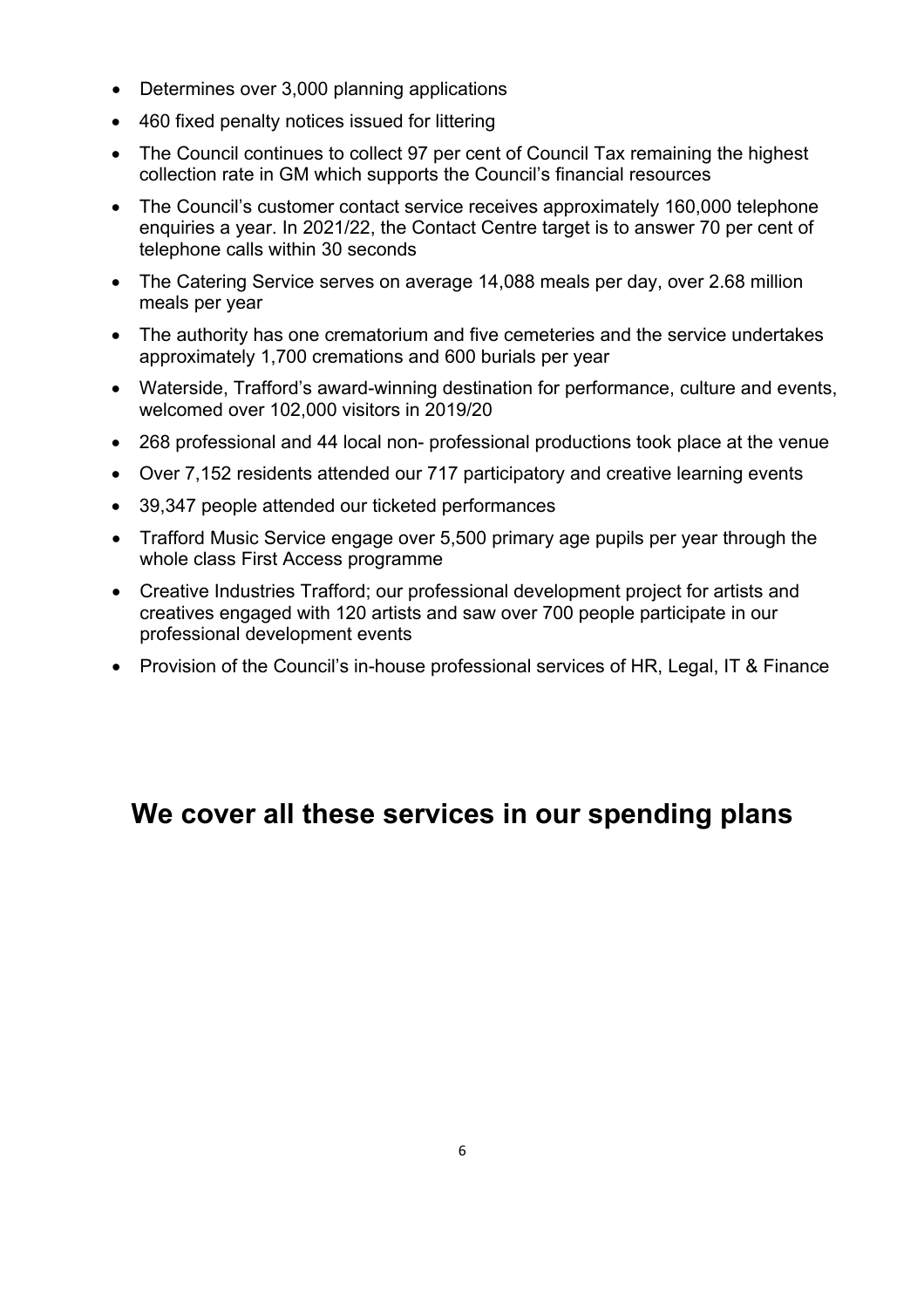- Determines over 3,000 planning applications
- 460 fixed penalty notices issued for littering
- The Council continues to collect 97 per cent of Council Tax remaining the highest collection rate in GM which supports the Council's financial resources
- The Council's customer contact service receives approximately 160,000 telephone enquiries a year. In 2021/22, the Contact Centre target is to answer 70 per cent of telephone calls within 30 seconds
- The Catering Service serves on average 14,088 meals per day, over 2.68 million meals per year
- The authority has one crematorium and five cemeteries and the service undertakes approximately 1,700 cremations and 600 burials per year
- Waterside, Trafford's award-winning destination for performance, culture and events, welcomed over 102,000 visitors in 2019/20
- 268 professional and 44 local non- professional productions took place at the venue
- Over 7,152 residents attended our 717 participatory and creative learning events
- 39,347 people attended our ticketed performances
- Trafford Music Service engage over 5,500 primary age pupils per year through the whole class First Access programme
- Creative Industries Trafford; our professional development project for artists and creatives engaged with 120 artists and saw over 700 people participate in our professional development events
- Provision of the Council's in-house professional services of HR, Legal, IT & Finance

# **We cover all these services in our spending plans**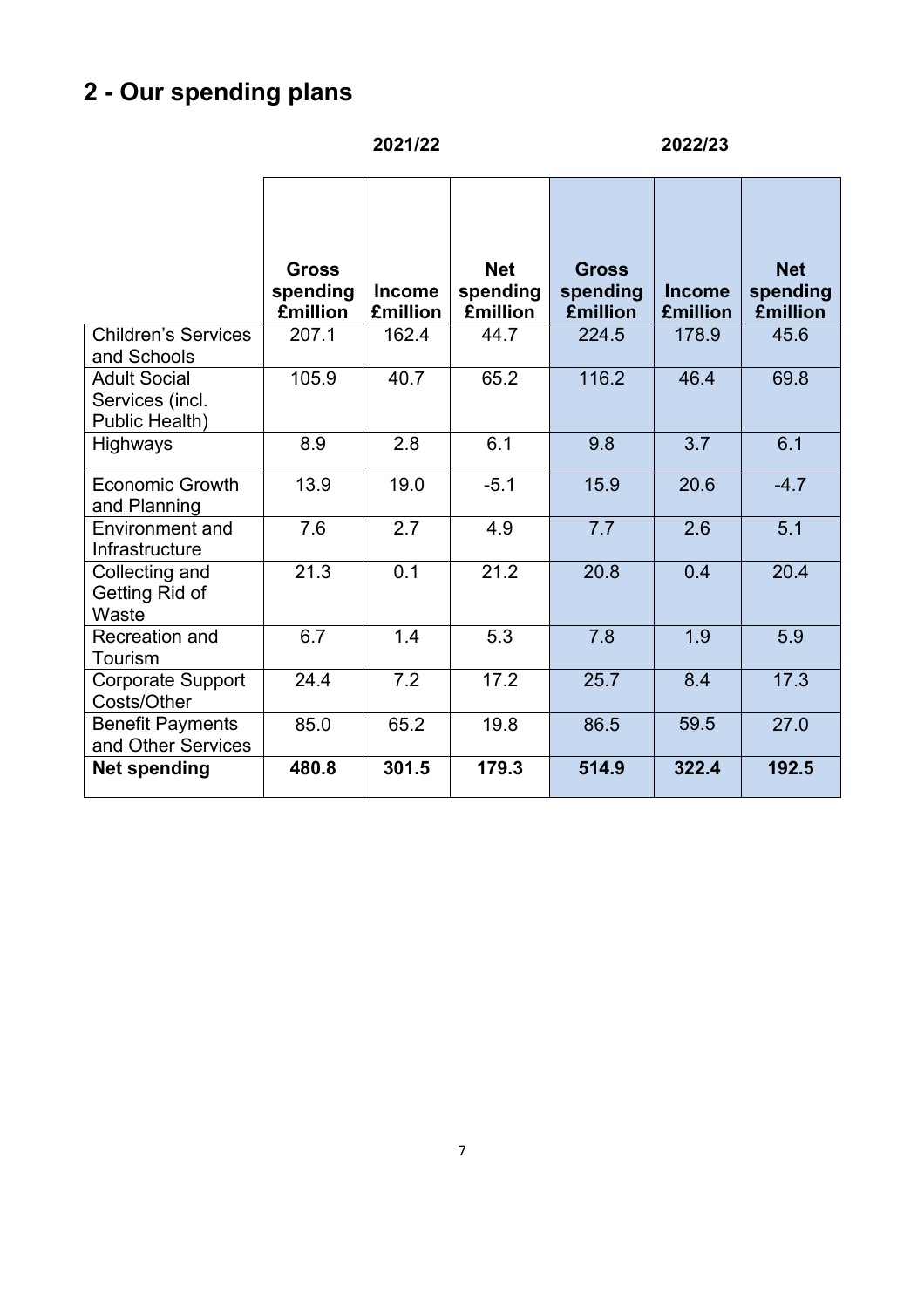# **2 - Our spending plans**

|                                                          | 2021/22                                     |                                  |                                           | 2022/23                                     |                                  |                                           |
|----------------------------------------------------------|---------------------------------------------|----------------------------------|-------------------------------------------|---------------------------------------------|----------------------------------|-------------------------------------------|
|                                                          | <b>Gross</b><br>spending<br><b>£million</b> | <b>Income</b><br><b>£million</b> | <b>Net</b><br>spending<br><b>£million</b> | <b>Gross</b><br>spending<br><b>£million</b> | <b>Income</b><br><b>£million</b> | <b>Net</b><br>spending<br><b>£million</b> |
| <b>Children's Services</b><br>and Schools                | 207.1                                       | 162.4                            | 44.7                                      | 224.5                                       | 178.9                            | 45.6                                      |
| <b>Adult Social</b><br>Services (incl.<br>Public Health) | 105.9                                       | 40.7                             | 65.2                                      | 116.2                                       | 46.4                             | 69.8                                      |
| <b>Highways</b>                                          | 8.9                                         | 2.8                              | 6.1                                       | 9.8                                         | 3.7                              | 6.1                                       |
| <b>Economic Growth</b><br>and Planning                   | 13.9                                        | 19.0                             | $-5.1$                                    | 15.9                                        | 20.6                             | $-4.7$                                    |
| Environment and<br>Infrastructure                        | 7.6                                         | 2.7                              | 4.9                                       | 7.7                                         | 2.6                              | 5.1                                       |
| Collecting and<br>Getting Rid of<br>Waste                | 21.3                                        | 0.1                              | 21.2                                      | 20.8                                        | 0.4                              | 20.4                                      |
| Recreation and<br>Tourism                                | 6.7                                         | 1.4                              | 5.3                                       | 7.8                                         | 1.9                              | 5.9                                       |
| <b>Corporate Support</b><br>Costs/Other                  | 24.4                                        | 7.2                              | 17.2                                      | 25.7                                        | 8.4                              | 17.3                                      |
| <b>Benefit Payments</b><br>and Other Services            | 85.0                                        | 65.2                             | 19.8                                      | 86.5                                        | 59.5                             | 27.0                                      |
| <b>Net spending</b>                                      | 480.8                                       | 301.5                            | 179.3                                     | 514.9                                       | 322.4                            | 192.5                                     |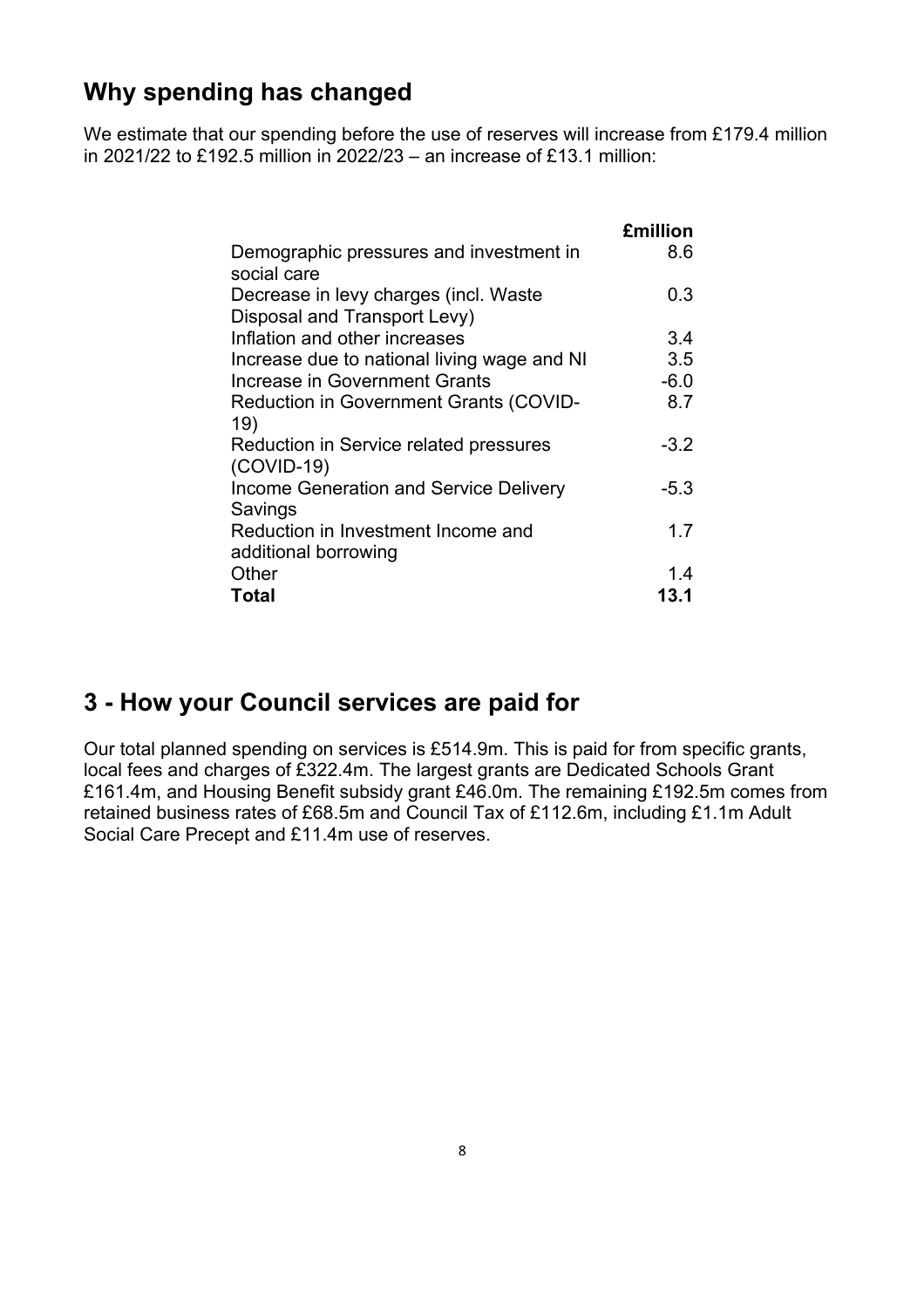#### **Why spending has changed**

We estimate that our spending before the use of reserves will increase from £179.4 million in 2021/22 to £192.5 million in 2022/23 – an increase of £13.1 million:

|                                                                       | <b>£million</b> |
|-----------------------------------------------------------------------|-----------------|
| Demographic pressures and investment in<br>social care                | 8.6             |
| Decrease in levy charges (incl. Waste<br>Disposal and Transport Levy) | 0.3             |
| Inflation and other increases                                         | 3.4             |
| Increase due to national living wage and NI                           | 3.5             |
| <b>Increase in Government Grants</b>                                  | $-6.0$          |
| <b>Reduction in Government Grants (COVID-</b><br>19)                  | 8.7             |
| Reduction in Service related pressures<br>$(COVID-19)$                | $-3.2$          |
| <b>Income Generation and Service Delivery</b><br>Savings              | -5.3            |
| Reduction in Investment Income and<br>additional borrowing            | 1.7             |
| Other                                                                 | 1.4             |
| <b>Total</b>                                                          | 13.1            |

#### **3 - How your Council services are paid for**

Our total planned spending on services is £514.9m. This is paid for from specific grants, local fees and charges of £322.4m. The largest grants are Dedicated Schools Grant £161.4m, and Housing Benefit subsidy grant £46.0m. The remaining £192.5m comes from retained business rates of £68.5m and Council Tax of £112.6m, including £1.1m Adult Social Care Precept and £11.4m use of reserves.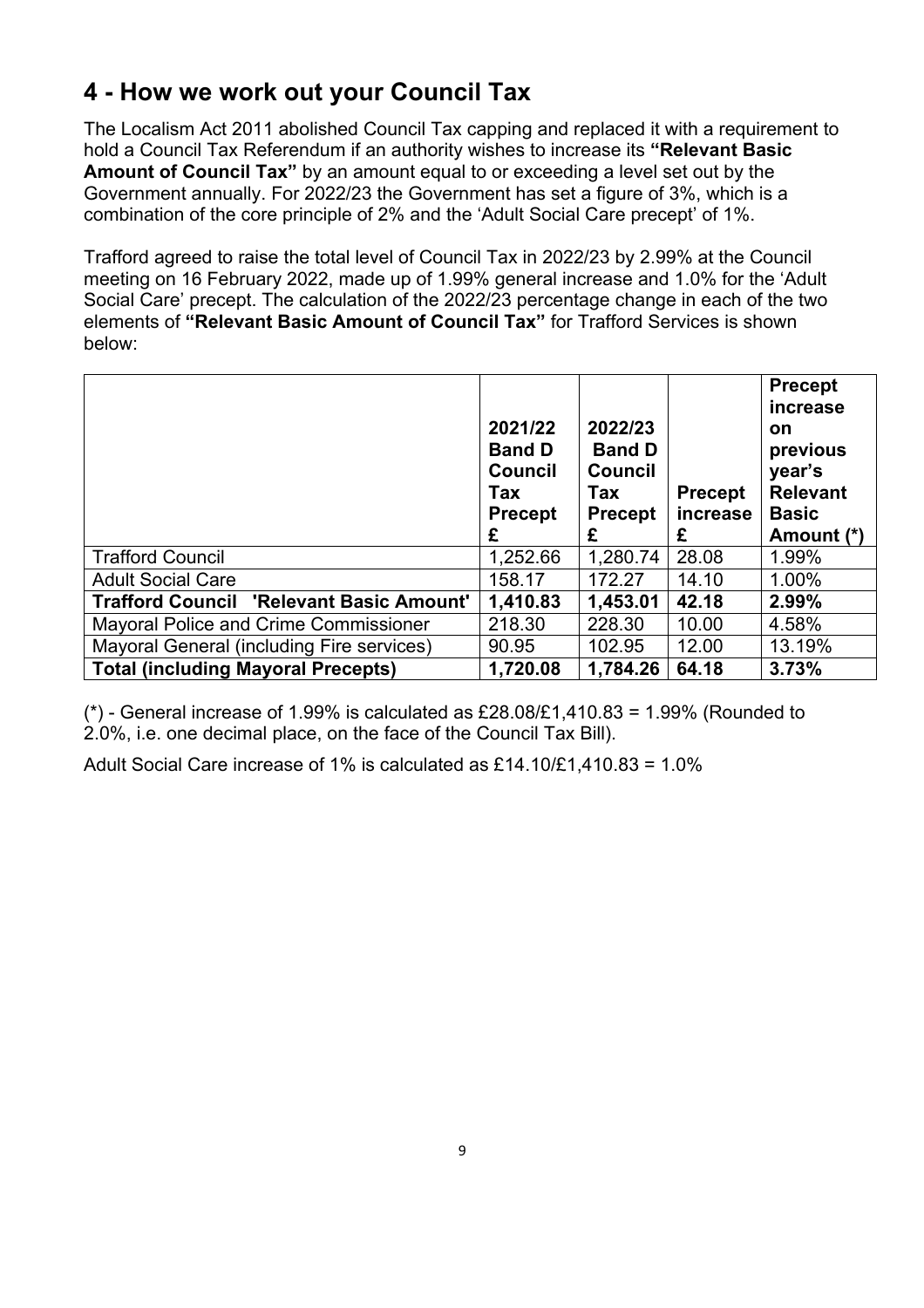### **4 - How we work out your Council Tax**

The Localism Act 2011 abolished Council Tax capping and replaced it with a requirement to hold a Council Tax Referendum if an authority wishes to increase its **"Relevant Basic Amount of Council Tax"** by an amount equal to or exceeding a level set out by the Government annually. For 2022/23 the Government has set a figure of 3%, which is a combination of the core principle of 2% and the 'Adult Social Care precept' of 1%.

Trafford agreed to raise the total level of Council Tax in 2022/23 by 2.99% at the Council meeting on 16 February 2022, made up of 1.99% general increase and 1.0% for the 'Adult Social Care' precept. The calculation of the 2022/23 percentage change in each of the two elements of **"Relevant Basic Amount of Council Tax"** for Trafford Services is shown below:

|                                                 | 2021/22<br><b>Band D</b><br><b>Council</b><br>Tax<br><b>Precept</b><br>£ | 2022/23<br><b>Band D</b><br><b>Council</b><br>Tax<br><b>Precept</b><br>£ | <b>Precept</b><br>increase<br>£ | <b>Precept</b><br>increase<br><b>on</b><br>previous<br>year's<br><b>Relevant</b><br><b>Basic</b><br>Amount (*) |
|-------------------------------------------------|--------------------------------------------------------------------------|--------------------------------------------------------------------------|---------------------------------|----------------------------------------------------------------------------------------------------------------|
| <b>Trafford Council</b>                         | 1,252.66                                                                 | 1,280.74                                                                 | 28.08                           | 1.99%                                                                                                          |
| <b>Adult Social Care</b>                        | 158.17                                                                   | 172.27                                                                   | 14.10                           | 1.00%                                                                                                          |
| <b>Trafford Council 'Relevant Basic Amount'</b> | 1,410.83                                                                 | 1,453.01                                                                 | 42.18                           | 2.99%                                                                                                          |
| <b>Mayoral Police and Crime Commissioner</b>    | 218.30                                                                   | 228.30                                                                   | 10.00                           | 4.58%                                                                                                          |
| Mayoral General (including Fire services)       | 90.95                                                                    | 102.95                                                                   | 12.00                           | 13.19%                                                                                                         |
| <b>Total (including Mayoral Precepts)</b>       | 1,720.08                                                                 | 1,784.26                                                                 | 64.18                           | 3.73%                                                                                                          |

 $(*)$  - General increase of 1.99% is calculated as £28.08/£1,410.83 = 1.99% (Rounded to 2.0%, i.e. one decimal place, on the face of the Council Tax Bill).

Adult Social Care increase of 1% is calculated as £14.10/£1,410.83 = 1.0%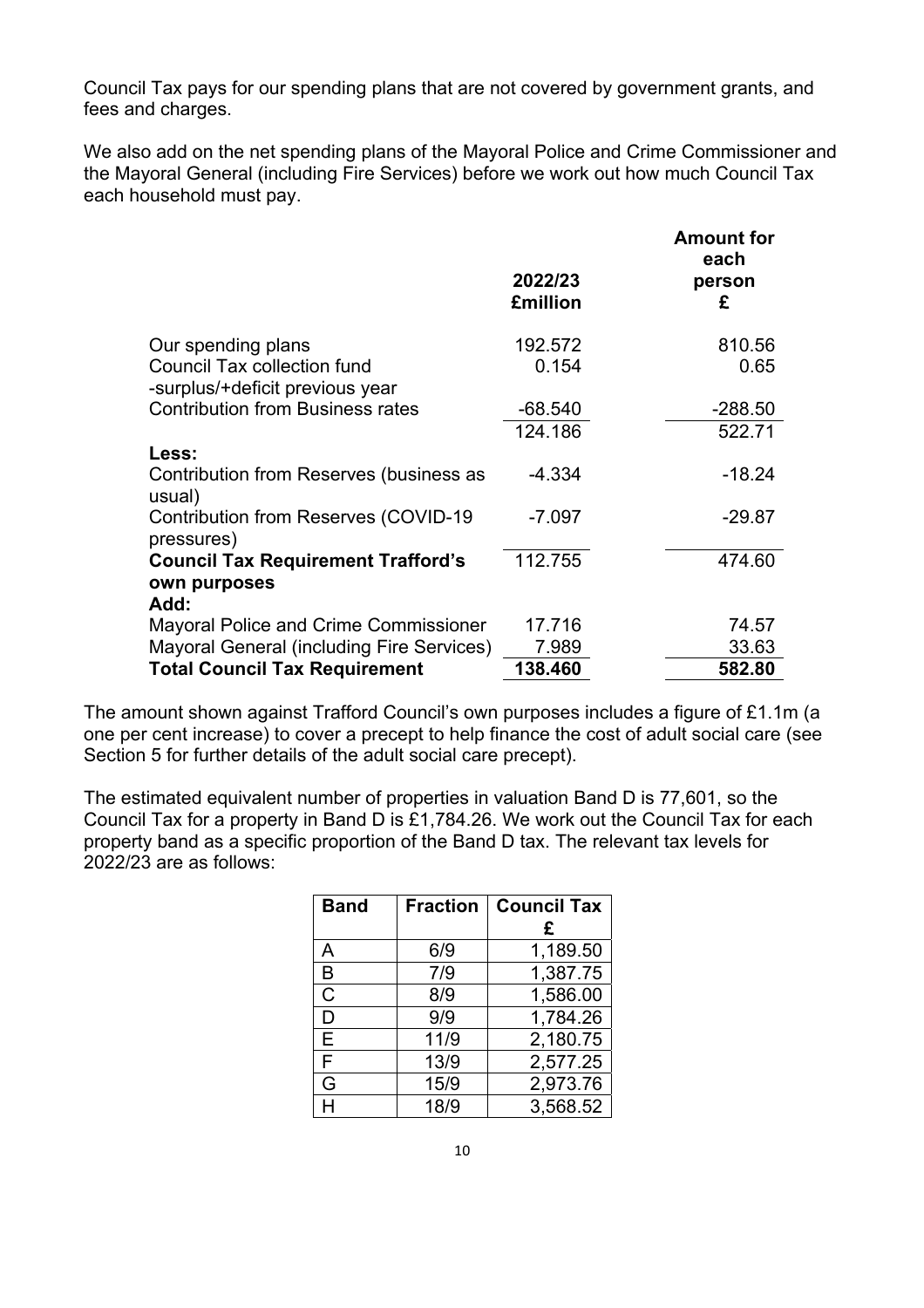Council Tax pays for our spending plans that are not covered by government grants, and fees and charges.

We also add on the net spending plans of the Mayoral Police and Crime Commissioner and the Mayoral General (including Fire Services) before we work out how much Council Tax each household must pay.

|                                                                       | 2022/23<br><b>£million</b> | <b>Amount for</b><br>each<br>person<br>£ |
|-----------------------------------------------------------------------|----------------------------|------------------------------------------|
|                                                                       |                            |                                          |
| Our spending plans                                                    | 192.572                    | 810.56                                   |
| <b>Council Tax collection fund</b><br>-surplus/+deficit previous year | 0.154                      | 0.65                                     |
| <b>Contribution from Business rates</b>                               | $-68.540$                  | $-288.50$                                |
|                                                                       | 124.186                    | 522.71                                   |
| Less:                                                                 |                            |                                          |
| Contribution from Reserves (business as<br>usual)                     | $-4.334$                   | $-18.24$                                 |
| <b>Contribution from Reserves (COVID-19</b><br>pressures)             | $-7.097$                   | $-29.87$                                 |
| <b>Council Tax Requirement Trafford's</b>                             | 112.755                    | 474.60                                   |
| own purposes                                                          |                            |                                          |
| Add:                                                                  |                            |                                          |
| <b>Mayoral Police and Crime Commissioner</b>                          | 17.716                     | 74.57                                    |
| <b>Mayoral General (including Fire Services)</b>                      | 7.989                      | 33.63                                    |
| <b>Total Council Tax Requirement</b>                                  | 138.460                    | 582.80                                   |

The amount shown against Trafford Council's own purposes includes a figure of £1.1m (a one per cent increase) to cover a precept to help finance the cost of adult social care (see Section 5 for further details of the adult social care precept).

The estimated equivalent number of properties in valuation Band D is 77,601, so the Council Tax for a property in Band D is £1,784.26. We work out the Council Tax for each property band as a specific proportion of the Band D tax. The relevant tax levels for 2022/23 are as follows:

| <b>Band</b> | <b>Fraction</b> | <b>Council Tax</b> |
|-------------|-----------------|--------------------|
|             |                 | £                  |
| Α           | 6/9             | 1,189.50           |
| B           | 7/9             | 1,387.75           |
| C           | 8/9             | 1,586.00           |
| D           | 9/9             | 1,784.26           |
| Е           | 11/9            | 2,180.75           |
| F           | 13/9            | 2,577.25           |
| G           | 15/9            | 2,973.76           |
|             | 18/9            | 3,568.52           |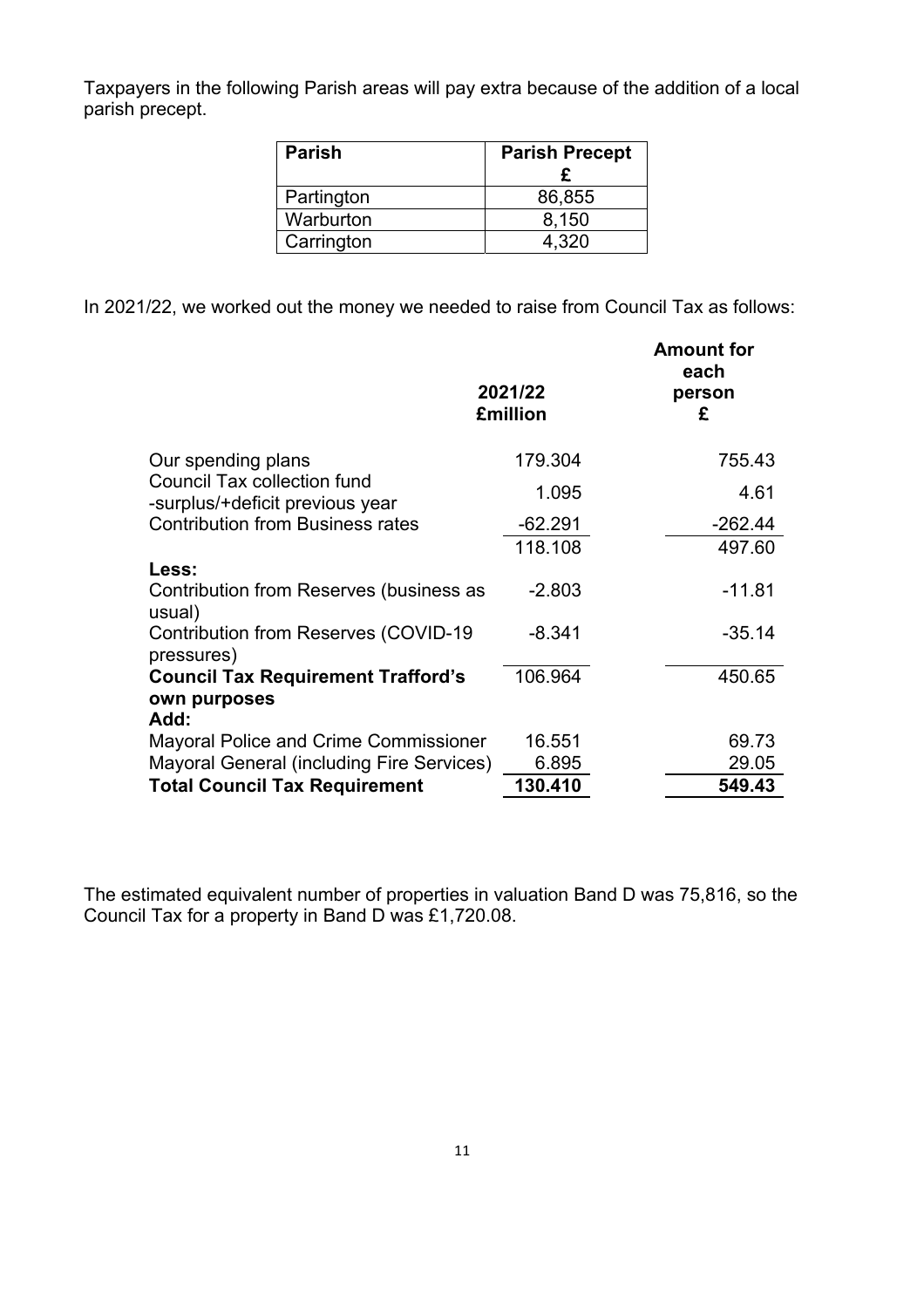Taxpayers in the following Parish areas will pay extra because of the addition of a local parish precept.

| <b>Parish</b> | <b>Parish Precept</b> |  |  |
|---------------|-----------------------|--|--|
|               |                       |  |  |
| Partington    | 86,855                |  |  |
| Warburton     | 8,150                 |  |  |
| Carrington    | 4.320                 |  |  |

In 2021/22, we worked out the money we needed to raise from Council Tax as follows:

|                                                                       | 2021/22<br><b>£million</b> | <b>Amount for</b><br>each<br>person<br>£ |
|-----------------------------------------------------------------------|----------------------------|------------------------------------------|
| Our spending plans                                                    | 179.304                    | 755.43                                   |
| <b>Council Tax collection fund</b><br>-surplus/+deficit previous year | 1.095                      | 4.61                                     |
| <b>Contribution from Business rates</b>                               | $-62.291$                  | $-262.44$                                |
| Less:                                                                 | 118.108                    | 497.60                                   |
| Contribution from Reserves (business as<br>usual)                     | $-2.803$                   | $-11.81$                                 |
| <b>Contribution from Reserves (COVID-19</b><br>pressures)             | $-8.341$                   | $-35.14$                                 |
| <b>Council Tax Requirement Trafford's</b><br>own purposes<br>Add:     | 106.964                    | 450.65                                   |
| <b>Mayoral Police and Crime Commissioner</b>                          | 16.551                     | 69.73                                    |
| <b>Mayoral General (including Fire Services)</b>                      | 6.895                      | 29.05                                    |
| <b>Total Council Tax Requirement</b>                                  | 130.410                    | 549.43                                   |

The estimated equivalent number of properties in valuation Band D was 75,816, so the Council Tax for a property in Band D was £1,720.08.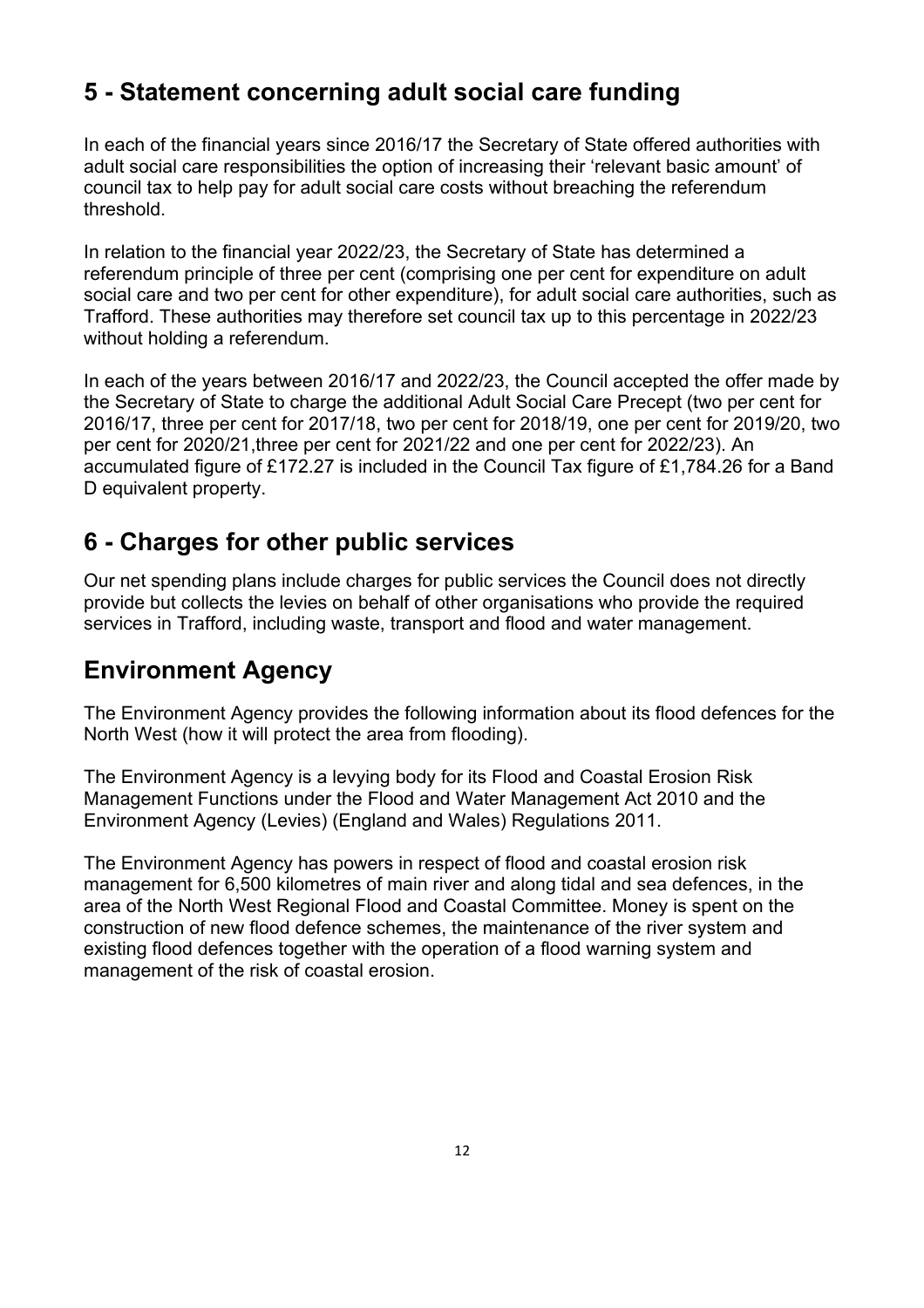### **5 - Statement concerning adult social care funding**

In each of the financial years since 2016/17 the Secretary of State offered authorities with adult social care responsibilities the option of increasing their 'relevant basic amount' of council tax to help pay for adult social care costs without breaching the referendum threshold.

In relation to the financial year 2022/23, the Secretary of State has determined a referendum principle of three per cent (comprising one per cent for expenditure on adult social care and two per cent for other expenditure), for adult social care authorities, such as Trafford. These authorities may therefore set council tax up to this percentage in 2022/23 without holding a referendum.

In each of the years between 2016/17 and 2022/23, the Council accepted the offer made by the Secretary of State to charge the additional Adult Social Care Precept (two per cent for 2016/17, three per cent for 2017/18, two per cent for 2018/19, one per cent for 2019/20, two per cent for 2020/21,three per cent for 2021/22 and one per cent for 2022/23). An accumulated figure of £172.27 is included in the Council Tax figure of £1,784.26 for a Band D equivalent property.

### **6 - Charges for other public services**

Our net spending plans include charges for public services the Council does not directly provide but collects the levies on behalf of other organisations who provide the required services in Trafford, including waste, transport and flood and water management.

#### **Environment Agency**

The Environment Agency provides the following information about its flood defences for the North West (how it will protect the area from flooding).

The Environment Agency is a levying body for its Flood and Coastal Erosion Risk Management Functions under the Flood and Water Management Act 2010 and the Environment Agency (Levies) (England and Wales) Regulations 2011.

The Environment Agency has powers in respect of flood and coastal erosion risk management for 6,500 kilometres of main river and along tidal and sea defences, in the area of the North West Regional Flood and Coastal Committee. Money is spent on the construction of new flood defence schemes, the maintenance of the river system and existing flood defences together with the operation of a flood warning system and management of the risk of coastal erosion.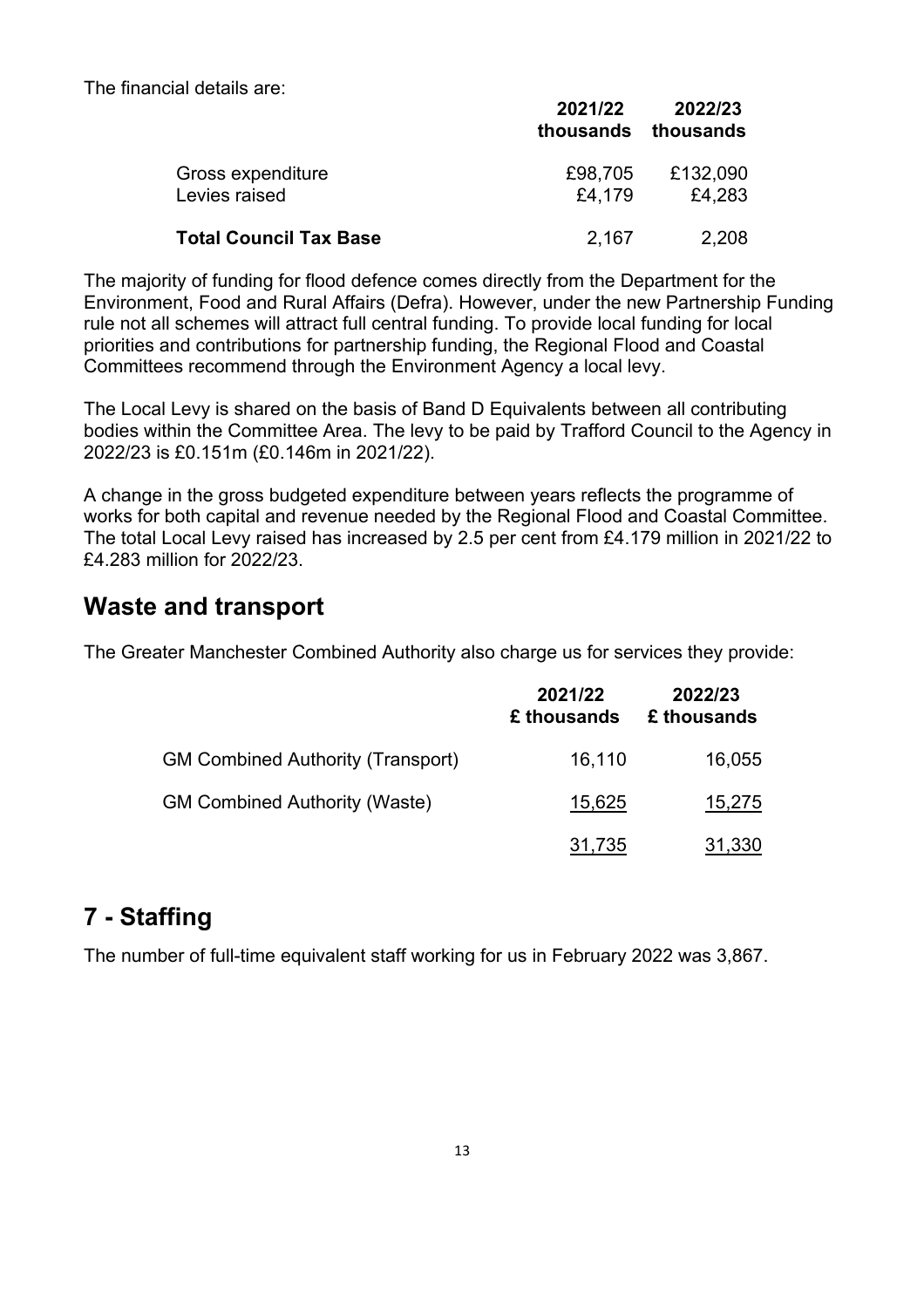The financial details are:

|                                    | 2021/22<br>thousands | 2022/23<br>thousands |
|------------------------------------|----------------------|----------------------|
| Gross expenditure<br>Levies raised | £98,705<br>£4,179    | £132,090<br>£4,283   |
| <b>Total Council Tax Base</b>      | 2,167                | 2,208                |

The majority of funding for flood defence comes directly from the Department for the Environment, Food and Rural Affairs (Defra). However, under the new Partnership Funding rule not all schemes will attract full central funding. To provide local funding for local priorities and contributions for partnership funding, the Regional Flood and Coastal Committees recommend through the Environment Agency a local levy.

The Local Levy is shared on the basis of Band D Equivalents between all contributing bodies within the Committee Area. The levy to be paid by Trafford Council to the Agency in 2022/23 is £0.151m (£0.146m in 2021/22).

A change in the gross budgeted expenditure between years reflects the programme of works for both capital and revenue needed by the Regional Flood and Coastal Committee. The total Local Levy raised has increased by 2.5 per cent from £4.179 million in 2021/22 to £4.283 million for 2022/23.

#### **Waste and transport**

The Greater Manchester Combined Authority also charge us for services they provide:

|                                          | 2021/22<br>£ thousands | 2022/23<br>£ thousands |
|------------------------------------------|------------------------|------------------------|
| <b>GM Combined Authority (Transport)</b> | 16,110                 | 16,055                 |
| <b>GM Combined Authority (Waste)</b>     | 15,625                 | 15,275                 |
|                                          | 31,735                 | 31,330                 |

#### **7 - Staffing**

The number of full-time equivalent staff working for us in February 2022 was 3,867.